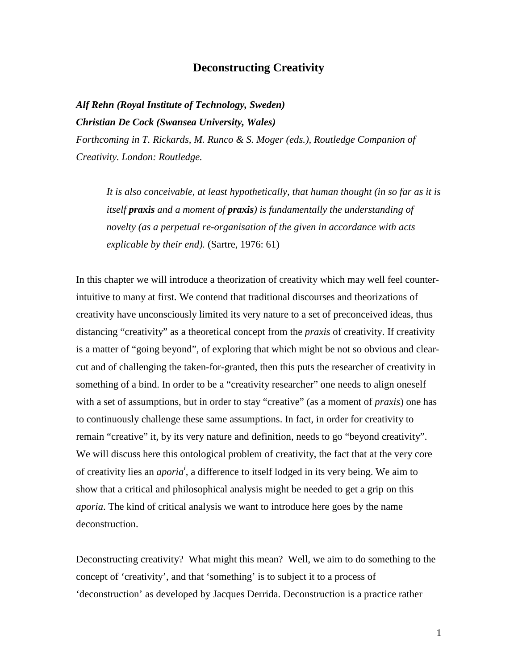## **Deconstructing Creativity**

# *Alf Rehn (Royal Institute of Technology, Sweden) Christian De Cock (Swansea University, Wales)*

*Forthcoming in T. Rickards, M. Runco & S. Moger (eds.), Routledge Companion of Creativity. London: Routledge.* 

*It is also conceivable, at least hypothetically, that human thought (in so far as it is itself praxis and a moment of praxis) is fundamentally the understanding of novelty (as a perpetual re-organisation of the given in accordance with acts explicable by their end).* (Sartre, 1976: 61)

In this chapter we will introduce a theorization of creativity which may well feel counterintuitive to many at first. We contend that traditional discourses and theorizations of creativity have unconsciously limited its very nature to a set of preconceived ideas, thus distancing "creativity" as a theoretical concept from the *praxis* of creativity. If creativity is a matter of "going beyond", of exploring that which might be not so obvious and clearcut and of challenging the taken-for-granted, then this puts the researcher of creativity in something of a bind. In order to be a "creativity researcher" one needs to align oneself with a set of assumptions, but in order to stay "creative" (as a moment of *praxis*) one has to continuously challenge these same assumptions. In fact, in order for creativity to remain "creative" it, by its very nature and definition, needs to go "beyond creativity". We will discuss here this ontological problem of creativity, the fact that at the very core of creativity lies an *aporia<sup>i</sup>* , a difference to itself lodged in its very being. We aim to show that a critical and philosophical analysis might be needed to get a grip on this *aporia*. The kind of critical analysis we want to introduce here goes by the name deconstruction.

Deconstructing creativity? What might this mean? Well, we aim to do something to the concept of 'creativity', and that 'something' is to subject it to a process of 'deconstruction' as developed by Jacques Derrida. Deconstruction is a practice rather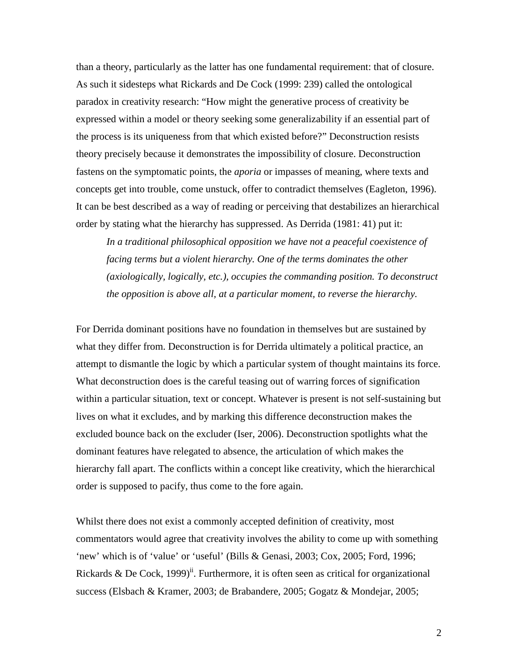than a theory, particularly as the latter has one fundamental requirement: that of closure. As such it sidesteps what Rickards and De Cock (1999: 239) called the ontological paradox in creativity research: "How might the generative process of creativity be expressed within a model or theory seeking some generalizability if an essential part of the process is its uniqueness from that which existed before?" Deconstruction resists theory precisely because it demonstrates the impossibility of closure. Deconstruction fastens on the symptomatic points, the *aporia* or impasses of meaning, where texts and concepts get into trouble, come unstuck, offer to contradict themselves (Eagleton, 1996). It can be best described as a way of reading or perceiving that destabilizes an hierarchical order by stating what the hierarchy has suppressed. As Derrida (1981: 41) put it:

*In a traditional philosophical opposition we have not a peaceful coexistence of facing terms but a violent hierarchy. One of the terms dominates the other (axiologically, logically, etc.), occupies the commanding position. To deconstruct the opposition is above all, at a particular moment, to reverse the hierarchy.* 

For Derrida dominant positions have no foundation in themselves but are sustained by what they differ from. Deconstruction is for Derrida ultimately a political practice, an attempt to dismantle the logic by which a particular system of thought maintains its force. What deconstruction does is the careful teasing out of warring forces of signification within a particular situation, text or concept. Whatever is present is not self-sustaining but lives on what it excludes, and by marking this difference deconstruction makes the excluded bounce back on the excluder (Iser, 2006). Deconstruction spotlights what the dominant features have relegated to absence, the articulation of which makes the hierarchy fall apart. The conflicts within a concept like creativity, which the hierarchical order is supposed to pacify, thus come to the fore again.

Whilst there does not exist a commonly accepted definition of creativity, most commentators would agree that creativity involves the ability to come up with something 'new' which is of 'value' or 'useful' (Bills & Genasi, 2003; Cox, 2005; Ford, 1996; Rickards & De Cock, 1999)<sup>ii</sup>. Furthermore, it is often seen as critical for organizational success (Elsbach & Kramer, 2003; de Brabandere, 2005; Gogatz & Mondejar, 2005;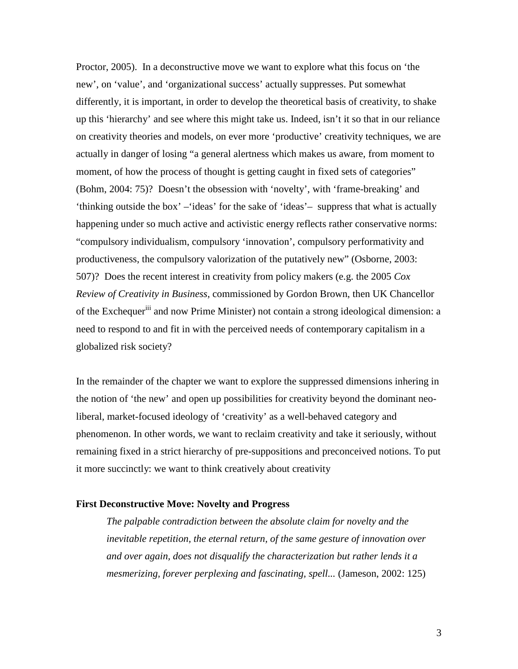Proctor, 2005). In a deconstructive move we want to explore what this focus on 'the new', on 'value', and 'organizational success' actually suppresses. Put somewhat differently, it is important, in order to develop the theoretical basis of creativity, to shake up this 'hierarchy' and see where this might take us. Indeed, isn't it so that in our reliance on creativity theories and models, on ever more 'productive' creativity techniques, we are actually in danger of losing "a general alertness which makes us aware, from moment to moment, of how the process of thought is getting caught in fixed sets of categories" (Bohm, 2004: 75)? Doesn't the obsession with 'novelty', with 'frame-breaking' and 'thinking outside the box' –'ideas' for the sake of 'ideas'– suppress that what is actually happening under so much active and activistic energy reflects rather conservative norms: "compulsory individualism, compulsory 'innovation', compulsory performativity and productiveness, the compulsory valorization of the putatively new" (Osborne, 2003: 507)? Does the recent interest in creativity from policy makers (e.g. the 2005 *Cox Review of Creativity in Business*, commissioned by Gordon Brown, then UK Chancellor of the Exchequer<sup>iii</sup> and now Prime Minister) not contain a strong ideological dimension: a need to respond to and fit in with the perceived needs of contemporary capitalism in a globalized risk society?

In the remainder of the chapter we want to explore the suppressed dimensions inhering in the notion of 'the new' and open up possibilities for creativity beyond the dominant neoliberal, market-focused ideology of 'creativity' as a well-behaved category and phenomenon. In other words, we want to reclaim creativity and take it seriously, without remaining fixed in a strict hierarchy of pre-suppositions and preconceived notions. To put it more succinctly: we want to think creatively about creativity

## **First Deconstructive Move: Novelty and Progress**

*The palpable contradiction between the absolute claim for novelty and the inevitable repetition, the eternal return, of the same gesture of innovation over and over again, does not disqualify the characterization but rather lends it a mesmerizing, forever perplexing and fascinating, spell...* (Jameson, 2002: 125)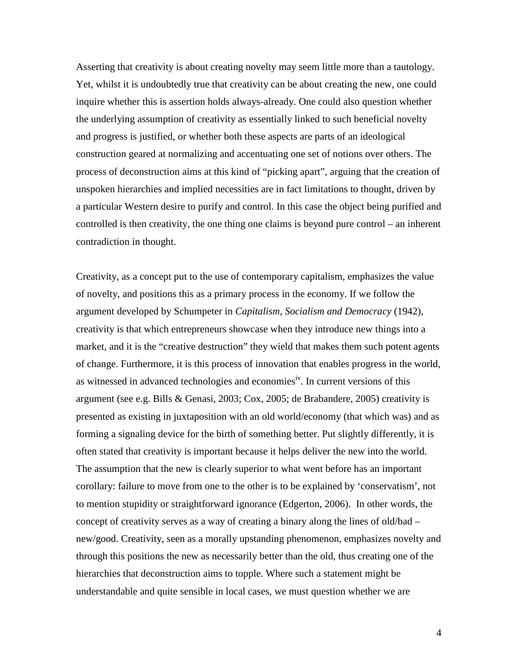Asserting that creativity is about creating novelty may seem little more than a tautology. Yet, whilst it is undoubtedly true that creativity can be about creating the new, one could inquire whether this is assertion holds always-already. One could also question whether the underlying assumption of creativity as essentially linked to such beneficial novelty and progress is justified, or whether both these aspects are parts of an ideological construction geared at normalizing and accentuating one set of notions over others. The process of deconstruction aims at this kind of "picking apart", arguing that the creation of unspoken hierarchies and implied necessities are in fact limitations to thought, driven by a particular Western desire to purify and control. In this case the object being purified and controlled is then creativity, the one thing one claims is beyond pure control – an inherent contradiction in thought.

Creativity, as a concept put to the use of contemporary capitalism, emphasizes the value of novelty, and positions this as a primary process in the economy. If we follow the argument developed by Schumpeter in *Capitalism, Socialism and Democracy* (1942), creativity is that which entrepreneurs showcase when they introduce new things into a market, and it is the "creative destruction" they wield that makes them such potent agents of change. Furthermore, it is this process of innovation that enables progress in the world, as witnessed in advanced technologies and economies<sup>iv</sup>. In current versions of this argument (see e.g. Bills & Genasi, 2003; Cox, 2005; de Brabandere, 2005) creativity is presented as existing in juxtaposition with an old world/economy (that which was) and as forming a signaling device for the birth of something better. Put slightly differently, it is often stated that creativity is important because it helps deliver the new into the world. The assumption that the new is clearly superior to what went before has an important corollary: failure to move from one to the other is to be explained by 'conservatism', not to mention stupidity or straightforward ignorance (Edgerton, 2006). In other words, the concept of creativity serves as a way of creating a binary along the lines of old/bad – new/good. Creativity, seen as a morally upstanding phenomenon, emphasizes novelty and through this positions the new as necessarily better than the old, thus creating one of the hierarchies that deconstruction aims to topple. Where such a statement might be understandable and quite sensible in local cases, we must question whether we are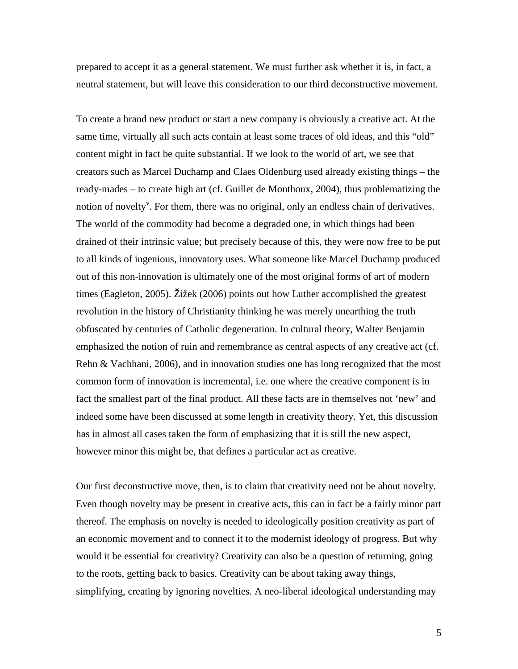prepared to accept it as a general statement. We must further ask whether it is, in fact, a neutral statement, but will leave this consideration to our third deconstructive movement.

To create a brand new product or start a new company is obviously a creative act. At the same time, virtually all such acts contain at least some traces of old ideas, and this "old" content might in fact be quite substantial. If we look to the world of art, we see that creators such as Marcel Duchamp and Claes Oldenburg used already existing things – the ready-mades – to create high art (cf. Guillet de Monthoux, 2004), thus problematizing the notion of novelty<sup>v</sup>. For them, there was no original, only an endless chain of derivatives. The world of the commodity had become a degraded one, in which things had been drained of their intrinsic value; but precisely because of this, they were now free to be put to all kinds of ingenious, innovatory uses. What someone like Marcel Duchamp produced out of this non-innovation is ultimately one of the most original forms of art of modern times (Eagleton, 2005). Žižek (2006) points out how Luther accomplished the greatest revolution in the history of Christianity thinking he was merely unearthing the truth obfuscated by centuries of Catholic degeneration. In cultural theory, Walter Benjamin emphasized the notion of ruin and remembrance as central aspects of any creative act (cf. Rehn & Vachhani, 2006), and in innovation studies one has long recognized that the most common form of innovation is incremental, i.e. one where the creative component is in fact the smallest part of the final product. All these facts are in themselves not 'new' and indeed some have been discussed at some length in creativity theory. Yet, this discussion has in almost all cases taken the form of emphasizing that it is still the new aspect, however minor this might be, that defines a particular act as creative.

Our first deconstructive move, then, is to claim that creativity need not be about novelty. Even though novelty may be present in creative acts, this can in fact be a fairly minor part thereof. The emphasis on novelty is needed to ideologically position creativity as part of an economic movement and to connect it to the modernist ideology of progress. But why would it be essential for creativity? Creativity can also be a question of returning, going to the roots, getting back to basics. Creativity can be about taking away things, simplifying, creating by ignoring novelties. A neo-liberal ideological understanding may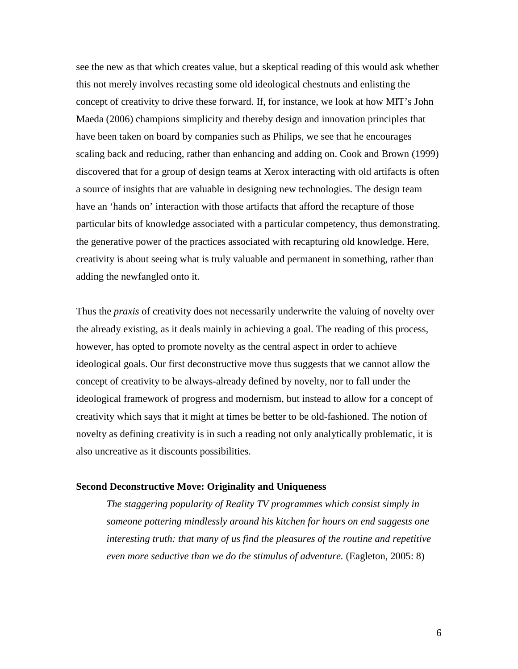see the new as that which creates value, but a skeptical reading of this would ask whether this not merely involves recasting some old ideological chestnuts and enlisting the concept of creativity to drive these forward. If, for instance, we look at how MIT's John Maeda (2006) champions simplicity and thereby design and innovation principles that have been taken on board by companies such as Philips, we see that he encourages scaling back and reducing, rather than enhancing and adding on. Cook and Brown (1999) discovered that for a group of design teams at Xerox interacting with old artifacts is often a source of insights that are valuable in designing new technologies. The design team have an 'hands on' interaction with those artifacts that afford the recapture of those particular bits of knowledge associated with a particular competency, thus demonstrating. the generative power of the practices associated with recapturing old knowledge. Here, creativity is about seeing what is truly valuable and permanent in something, rather than adding the newfangled onto it.

Thus the *praxis* of creativity does not necessarily underwrite the valuing of novelty over the already existing, as it deals mainly in achieving a goal. The reading of this process, however, has opted to promote novelty as the central aspect in order to achieve ideological goals. Our first deconstructive move thus suggests that we cannot allow the concept of creativity to be always-already defined by novelty, nor to fall under the ideological framework of progress and modernism, but instead to allow for a concept of creativity which says that it might at times be better to be old-fashioned. The notion of novelty as defining creativity is in such a reading not only analytically problematic, it is also uncreative as it discounts possibilities.

## **Second Deconstructive Move: Originality and Uniqueness**

*The staggering popularity of Reality TV programmes which consist simply in someone pottering mindlessly around his kitchen for hours on end suggests one interesting truth: that many of us find the pleasures of the routine and repetitive even more seductive than we do the stimulus of adventure.* (Eagleton, 2005: 8)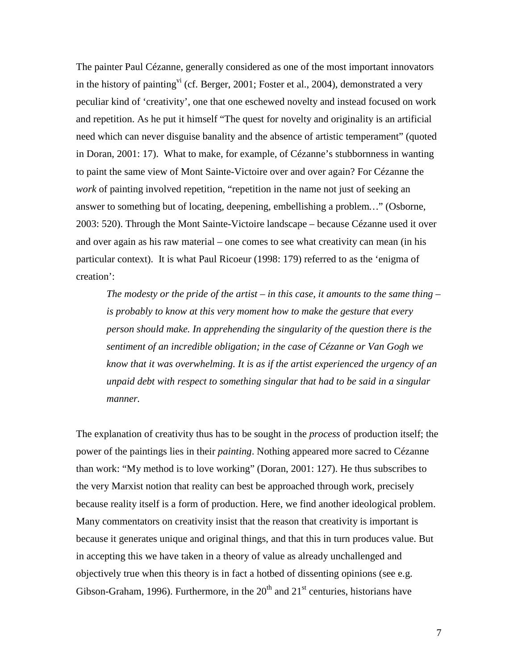The painter Paul Cézanne, generally considered as one of the most important innovators in the history of painting<sup>vi</sup> (cf. Berger, 2001; Foster et al., 2004), demonstrated a very peculiar kind of 'creativity', one that one eschewed novelty and instead focused on work and repetition. As he put it himself "The quest for novelty and originality is an artificial need which can never disguise banality and the absence of artistic temperament" (quoted in Doran, 2001: 17). What to make, for example, of Cézanne's stubbornness in wanting to paint the same view of Mont Sainte-Victoire over and over again? For Cézanne the *work* of painting involved repetition, "repetition in the name not just of seeking an answer to something but of locating, deepening, embellishing a problem*…*" (Osborne, 2003: 520). Through the Mont Sainte-Victoire landscape – because Cézanne used it over and over again as his raw material – one comes to see what creativity can mean (in his particular context). It is what Paul Ricoeur (1998: 179) referred to as the 'enigma of creation':

*The modesty or the pride of the artist – in this case, it amounts to the same thing – is probably to know at this very moment how to make the gesture that every person should make. In apprehending the singularity of the question there is the sentiment of an incredible obligation; in the case of Cézanne or Van Gogh we know that it was overwhelming. It is as if the artist experienced the urgency of an unpaid debt with respect to something singular that had to be said in a singular manner.* 

The explanation of creativity thus has to be sought in the *process* of production itself; the power of the paintings lies in their *painting*. Nothing appeared more sacred to Cézanne than work: "My method is to love working" (Doran, 2001: 127). He thus subscribes to the very Marxist notion that reality can best be approached through work, precisely because reality itself is a form of production. Here, we find another ideological problem. Many commentators on creativity insist that the reason that creativity is important is because it generates unique and original things, and that this in turn produces value. But in accepting this we have taken in a theory of value as already unchallenged and objectively true when this theory is in fact a hotbed of dissenting opinions (see e.g. Gibson-Graham, 1996). Furthermore, in the  $20<sup>th</sup>$  and  $21<sup>st</sup>$  centuries, historians have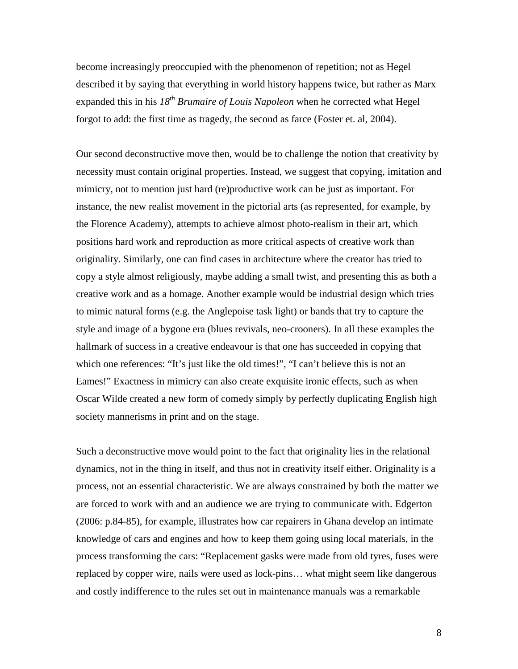become increasingly preoccupied with the phenomenon of repetition; not as Hegel described it by saying that everything in world history happens twice, but rather as Marx expanded this in his *18th Brumaire of Louis Napoleon* when he corrected what Hegel forgot to add: the first time as tragedy, the second as farce (Foster et. al, 2004).

Our second deconstructive move then, would be to challenge the notion that creativity by necessity must contain original properties. Instead, we suggest that copying, imitation and mimicry, not to mention just hard (re)productive work can be just as important. For instance, the new realist movement in the pictorial arts (as represented, for example, by the Florence Academy), attempts to achieve almost photo-realism in their art, which positions hard work and reproduction as more critical aspects of creative work than originality. Similarly, one can find cases in architecture where the creator has tried to copy a style almost religiously, maybe adding a small twist, and presenting this as both a creative work and as a homage. Another example would be industrial design which tries to mimic natural forms (e.g. the Anglepoise task light) or bands that try to capture the style and image of a bygone era (blues revivals, neo-crooners). In all these examples the hallmark of success in a creative endeavour is that one has succeeded in copying that which one references: "It's just like the old times!", "I can't believe this is not an Eames!" Exactness in mimicry can also create exquisite ironic effects, such as when Oscar Wilde created a new form of comedy simply by perfectly duplicating English high society mannerisms in print and on the stage.

Such a deconstructive move would point to the fact that originality lies in the relational dynamics, not in the thing in itself, and thus not in creativity itself either. Originality is a process, not an essential characteristic. We are always constrained by both the matter we are forced to work with and an audience we are trying to communicate with. Edgerton (2006: p.84-85), for example, illustrates how car repairers in Ghana develop an intimate knowledge of cars and engines and how to keep them going using local materials, in the process transforming the cars: "Replacement gasks were made from old tyres, fuses were replaced by copper wire, nails were used as lock-pins… what might seem like dangerous and costly indifference to the rules set out in maintenance manuals was a remarkable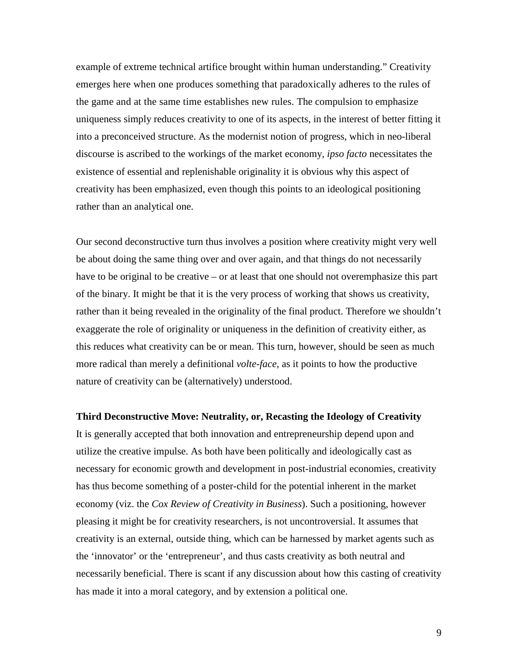example of extreme technical artifice brought within human understanding." Creativity emerges here when one produces something that paradoxically adheres to the rules of the game and at the same time establishes new rules. The compulsion to emphasize uniqueness simply reduces creativity to one of its aspects, in the interest of better fitting it into a preconceived structure. As the modernist notion of progress, which in neo-liberal discourse is ascribed to the workings of the market economy, *ipso facto* necessitates the existence of essential and replenishable originality it is obvious why this aspect of creativity has been emphasized, even though this points to an ideological positioning rather than an analytical one.

Our second deconstructive turn thus involves a position where creativity might very well be about doing the same thing over and over again, and that things do not necessarily have to be original to be creative – or at least that one should not overemphasize this part of the binary. It might be that it is the very process of working that shows us creativity, rather than it being revealed in the originality of the final product. Therefore we shouldn't exaggerate the role of originality or uniqueness in the definition of creativity either, as this reduces what creativity can be or mean. This turn, however, should be seen as much more radical than merely a definitional *volte-face*, as it points to how the productive nature of creativity can be (alternatively) understood.

#### **Third Deconstructive Move: Neutrality, or, Recasting the Ideology of Creativity**

It is generally accepted that both innovation and entrepreneurship depend upon and utilize the creative impulse. As both have been politically and ideologically cast as necessary for economic growth and development in post-industrial economies, creativity has thus become something of a poster-child for the potential inherent in the market economy (viz. the *Cox Review of Creativity in Business*). Such a positioning, however pleasing it might be for creativity researchers, is not uncontroversial. It assumes that creativity is an external, outside thing, which can be harnessed by market agents such as the 'innovator' or the 'entrepreneur', and thus casts creativity as both neutral and necessarily beneficial. There is scant if any discussion about how this casting of creativity has made it into a moral category, and by extension a political one.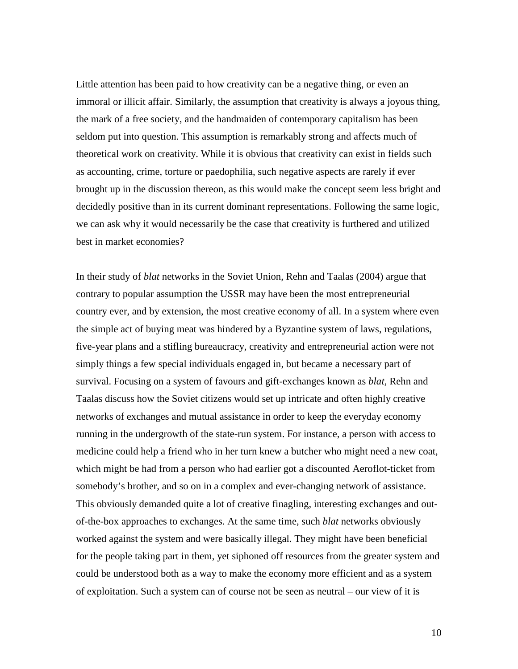Little attention has been paid to how creativity can be a negative thing, or even an immoral or illicit affair. Similarly, the assumption that creativity is always a joyous thing, the mark of a free society, and the handmaiden of contemporary capitalism has been seldom put into question. This assumption is remarkably strong and affects much of theoretical work on creativity. While it is obvious that creativity can exist in fields such as accounting, crime, torture or paedophilia, such negative aspects are rarely if ever brought up in the discussion thereon, as this would make the concept seem less bright and decidedly positive than in its current dominant representations. Following the same logic, we can ask why it would necessarily be the case that creativity is furthered and utilized best in market economies?

In their study of *blat* networks in the Soviet Union, Rehn and Taalas (2004) argue that contrary to popular assumption the USSR may have been the most entrepreneurial country ever, and by extension, the most creative economy of all. In a system where even the simple act of buying meat was hindered by a Byzantine system of laws, regulations, five-year plans and a stifling bureaucracy, creativity and entrepreneurial action were not simply things a few special individuals engaged in, but became a necessary part of survival. Focusing on a system of favours and gift-exchanges known as *blat,* Rehn and Taalas discuss how the Soviet citizens would set up intricate and often highly creative networks of exchanges and mutual assistance in order to keep the everyday economy running in the undergrowth of the state-run system. For instance, a person with access to medicine could help a friend who in her turn knew a butcher who might need a new coat, which might be had from a person who had earlier got a discounted Aeroflot-ticket from somebody's brother, and so on in a complex and ever-changing network of assistance. This obviously demanded quite a lot of creative finagling, interesting exchanges and outof-the-box approaches to exchanges. At the same time, such *blat* networks obviously worked against the system and were basically illegal. They might have been beneficial for the people taking part in them, yet siphoned off resources from the greater system and could be understood both as a way to make the economy more efficient and as a system of exploitation. Such a system can of course not be seen as neutral – our view of it is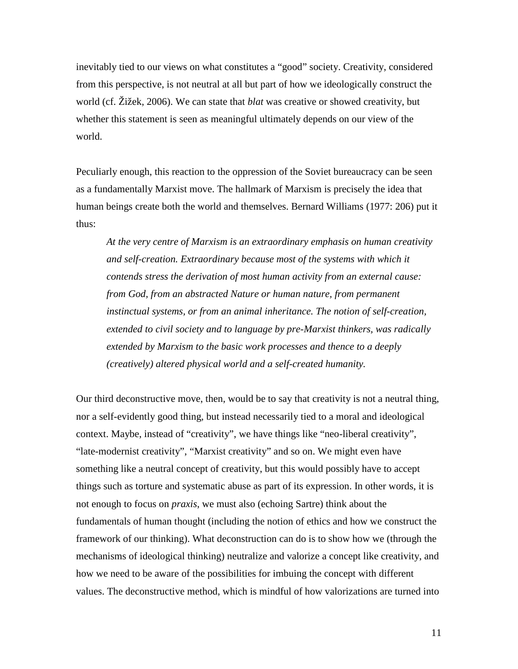inevitably tied to our views on what constitutes a "good" society. Creativity, considered from this perspective, is not neutral at all but part of how we ideologically construct the world (cf. Žižek, 2006). We can state that *blat* was creative or showed creativity, but whether this statement is seen as meaningful ultimately depends on our view of the world.

Peculiarly enough, this reaction to the oppression of the Soviet bureaucracy can be seen as a fundamentally Marxist move. The hallmark of Marxism is precisely the idea that human beings create both the world and themselves. Bernard Williams (1977: 206) put it thus:

*At the very centre of Marxism is an extraordinary emphasis on human creativity and self-creation. Extraordinary because most of the systems with which it contends stress the derivation of most human activity from an external cause: from God, from an abstracted Nature or human nature, from permanent instinctual systems, or from an animal inheritance. The notion of self-creation, extended to civil society and to language by pre-Marxist thinkers, was radically extended by Marxism to the basic work processes and thence to a deeply (creatively) altered physical world and a self-created humanity.* 

Our third deconstructive move, then, would be to say that creativity is not a neutral thing, nor a self-evidently good thing, but instead necessarily tied to a moral and ideological context. Maybe, instead of "creativity", we have things like "neo-liberal creativity", "late-modernist creativity", "Marxist creativity" and so on. We might even have something like a neutral concept of creativity, but this would possibly have to accept things such as torture and systematic abuse as part of its expression. In other words, it is not enough to focus on *praxis*, we must also (echoing Sartre) think about the fundamentals of human thought (including the notion of ethics and how we construct the framework of our thinking). What deconstruction can do is to show how we (through the mechanisms of ideological thinking) neutralize and valorize a concept like creativity, and how we need to be aware of the possibilities for imbuing the concept with different values. The deconstructive method, which is mindful of how valorizations are turned into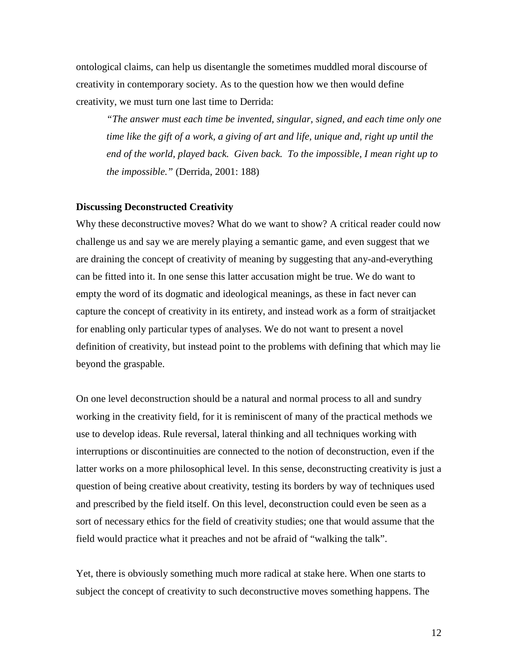ontological claims, can help us disentangle the sometimes muddled moral discourse of creativity in contemporary society. As to the question how we then would define creativity, we must turn one last time to Derrida:

*"The answer must each time be invented, singular, signed, and each time only one time like the gift of a work, a giving of art and life, unique and, right up until the end of the world, played back. Given back. To the impossible, I mean right up to the impossible."* (Derrida, 2001: 188)

## **Discussing Deconstructed Creativity**

Why these deconstructive moves? What do we want to show? A critical reader could now challenge us and say we are merely playing a semantic game, and even suggest that we are draining the concept of creativity of meaning by suggesting that any-and-everything can be fitted into it. In one sense this latter accusation might be true. We do want to empty the word of its dogmatic and ideological meanings, as these in fact never can capture the concept of creativity in its entirety, and instead work as a form of straitjacket for enabling only particular types of analyses. We do not want to present a novel definition of creativity, but instead point to the problems with defining that which may lie beyond the graspable.

On one level deconstruction should be a natural and normal process to all and sundry working in the creativity field, for it is reminiscent of many of the practical methods we use to develop ideas. Rule reversal, lateral thinking and all techniques working with interruptions or discontinuities are connected to the notion of deconstruction, even if the latter works on a more philosophical level. In this sense, deconstructing creativity is just a question of being creative about creativity, testing its borders by way of techniques used and prescribed by the field itself. On this level, deconstruction could even be seen as a sort of necessary ethics for the field of creativity studies; one that would assume that the field would practice what it preaches and not be afraid of "walking the talk".

Yet, there is obviously something much more radical at stake here. When one starts to subject the concept of creativity to such deconstructive moves something happens. The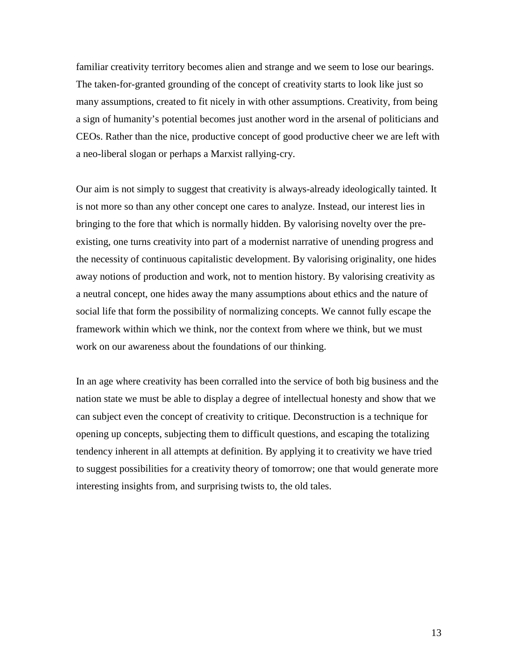familiar creativity territory becomes alien and strange and we seem to lose our bearings. The taken-for-granted grounding of the concept of creativity starts to look like just so many assumptions, created to fit nicely in with other assumptions. Creativity, from being a sign of humanity's potential becomes just another word in the arsenal of politicians and CEOs. Rather than the nice, productive concept of good productive cheer we are left with a neo-liberal slogan or perhaps a Marxist rallying-cry.

Our aim is not simply to suggest that creativity is always-already ideologically tainted. It is not more so than any other concept one cares to analyze. Instead, our interest lies in bringing to the fore that which is normally hidden. By valorising novelty over the preexisting, one turns creativity into part of a modernist narrative of unending progress and the necessity of continuous capitalistic development. By valorising originality, one hides away notions of production and work, not to mention history. By valorising creativity as a neutral concept, one hides away the many assumptions about ethics and the nature of social life that form the possibility of normalizing concepts. We cannot fully escape the framework within which we think, nor the context from where we think, but we must work on our awareness about the foundations of our thinking.

In an age where creativity has been corralled into the service of both big business and the nation state we must be able to display a degree of intellectual honesty and show that we can subject even the concept of creativity to critique. Deconstruction is a technique for opening up concepts, subjecting them to difficult questions, and escaping the totalizing tendency inherent in all attempts at definition. By applying it to creativity we have tried to suggest possibilities for a creativity theory of tomorrow; one that would generate more interesting insights from, and surprising twists to, the old tales.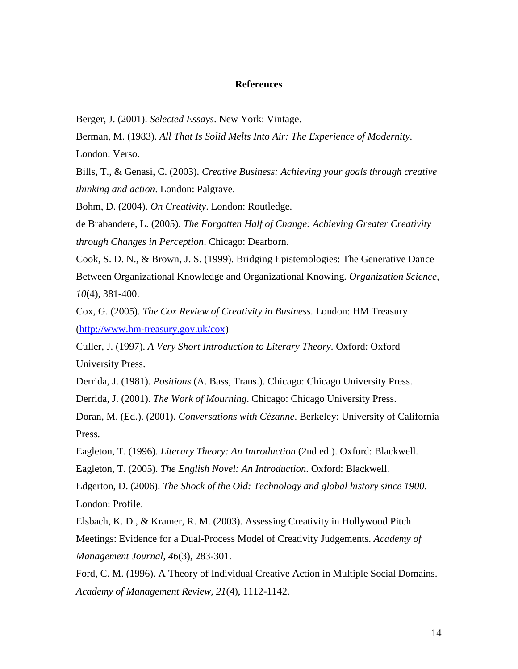## **References**

Berger, J. (2001). *Selected Essays*. New York: Vintage.

Berman, M. (1983). *All That Is Solid Melts Into Air: The Experience of Modernity*. London: Verso.

Bills, T., & Genasi, C. (2003). *Creative Business: Achieving your goals through creative thinking and action*. London: Palgrave.

Bohm, D. (2004). *On Creativity*. London: Routledge.

de Brabandere, L. (2005). *The Forgotten Half of Change: Achieving Greater Creativity through Changes in Perception*. Chicago: Dearborn.

Cook, S. D. N., & Brown, J. S. (1999). Bridging Epistemologies: The Generative Dance Between Organizational Knowledge and Organizational Knowing. *Organization Science, 10*(4), 381-400.

Cox, G. (2005). *The Cox Review of Creativity in Business*. London: HM Treasury (http://www.hm-treasury.gov.uk/cox)

Culler, J. (1997). *A Very Short Introduction to Literary Theory*. Oxford: Oxford University Press.

Derrida, J. (1981). *Positions* (A. Bass, Trans.). Chicago: Chicago University Press.

Derrida, J. (2001). *The Work of Mourning*. Chicago: Chicago University Press.

Doran, M. (Ed.). (2001). *Conversations with Cézanne*. Berkeley: University of California Press.

Eagleton, T. (1996). *Literary Theory: An Introduction* (2nd ed.). Oxford: Blackwell.

Eagleton, T. (2005). *The English Novel: An Introduction*. Oxford: Blackwell.

Edgerton, D. (2006). *The Shock of the Old: Technology and global history since 1900*. London: Profile.

Elsbach, K. D., & Kramer, R. M. (2003). Assessing Creativity in Hollywood Pitch Meetings: Evidence for a Dual-Process Model of Creativity Judgements. *Academy of Management Journal, 46*(3), 283-301.

Ford, C. M. (1996). A Theory of Individual Creative Action in Multiple Social Domains. *Academy of Management Review, 21*(4), 1112-1142.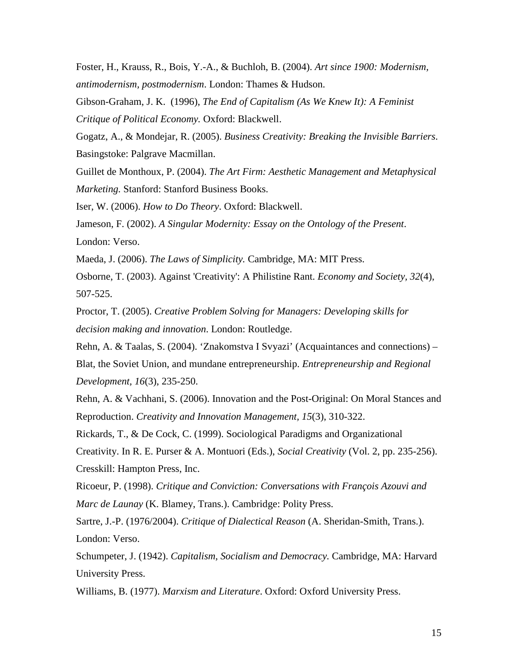Foster, H., Krauss, R., Bois, Y.-A., & Buchloh, B. (2004). *Art since 1900: Modernism, antimodernism, postmodernism*. London: Thames & Hudson.

Gibson-Graham, J. K. (1996), *The End of Capitalism (As We Knew It): A Feminist Critique of Political Economy.* Oxford: Blackwell.

Gogatz, A., & Mondejar, R. (2005). *Business Creativity: Breaking the Invisible Barriers*. Basingstoke: Palgrave Macmillan.

Guillet de Monthoux, P. (2004). *The Art Firm: Aesthetic Management and Metaphysical Marketing.* Stanford: Stanford Business Books.

Iser, W. (2006). *How to Do Theory*. Oxford: Blackwell.

Jameson, F. (2002). *A Singular Modernity: Essay on the Ontology of the Present*. London: Verso.

Maeda, J. (2006). *The Laws of Simplicity.* Cambridge, MA: MIT Press.

Osborne, T. (2003). Against 'Creativity': A Philistine Rant. *Economy and Society, 32*(4), 507-525.

Proctor, T. (2005). *Creative Problem Solving for Managers: Developing skills for decision making and innovation*. London: Routledge.

Rehn, A. & Taalas, S. (2004). 'Znakomstva I Svyazi' (Acquaintances and connections) –

Blat, the Soviet Union, and mundane entrepreneurship. *Entrepreneurship and Regional Development, 16*(3), 235-250.

Rehn, A. & Vachhani, S. (2006). Innovation and the Post-Original: On Moral Stances and Reproduction. *Creativity and Innovation Management, 15*(3), 310-322.

Rickards, T., & De Cock, C. (1999). Sociological Paradigms and Organizational

Creativity. In R. E. Purser & A. Montuori (Eds.), *Social Creativity* (Vol. 2, pp. 235-256). Cresskill: Hampton Press, Inc.

Ricoeur, P. (1998). *Critique and Conviction: Conversations with François Azouvi and Marc de Launay* (K. Blamey, Trans.). Cambridge: Polity Press.

Sartre, J.-P. (1976/2004). *Critique of Dialectical Reason* (A. Sheridan-Smith, Trans.). London: Verso.

Schumpeter, J. (1942). *Capitalism, Socialism and Democracy.* Cambridge, MA: Harvard University Press.

Williams, B. (1977). *Marxism and Literature*. Oxford: Oxford University Press.